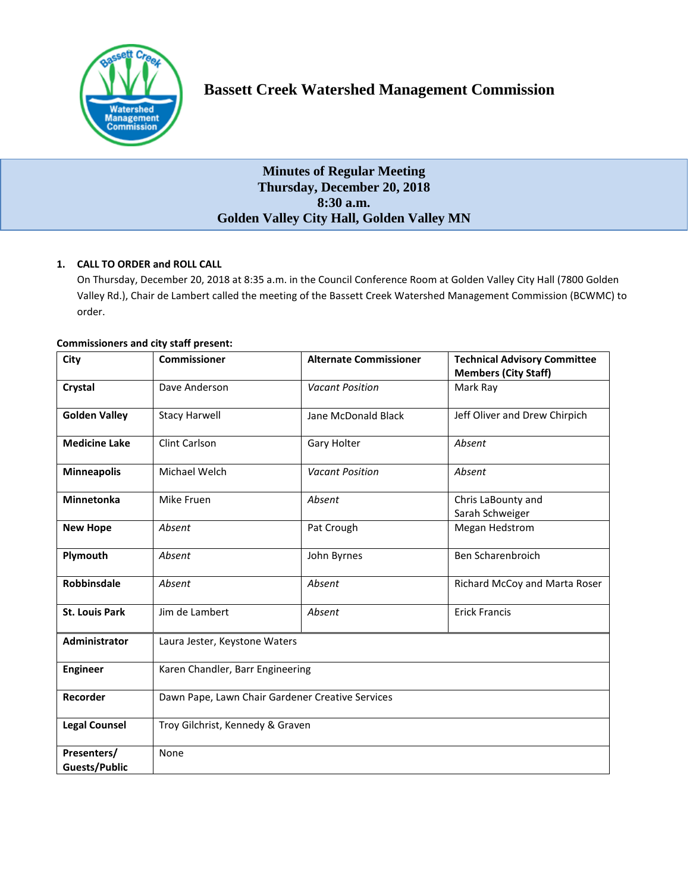

## **Bassett Creek Watershed Management Commission**

### **Minutes of Regular Meeting Thursday, December 20, 2018 8:30 a.m. Golden Valley City Hall, Golden Valley MN**

#### **1. CALL TO ORDER and ROLL CALL**

On Thursday, December 20, 2018 at 8:35 a.m. in the Council Conference Room at Golden Valley City Hall (7800 Golden Valley Rd.), Chair de Lambert called the meeting of the Bassett Creek Watershed Management Commission (BCWMC) to order.

# **City Commissioner Alternate Commissioner Technical Advisory Committee Members (City Staff) Crystal** Dave Anderson *Vacant Position* Mark Ray **Golden Valley** Stacy Harwell Jane McDonald Black Jeff Oliver and Drew Chirpich **Medicine Lake** | Clint Carlson **Gary Holter Gary Holter Absent Minneapolis** Michael Welch *Vacant Position Absent* **Minnetonka** Mike Fruen *Absent Absent* Chris LaBounty and Sarah Schweiger **New Hope** *Absent* **Pat Crough 19 Megan Hedstrom Plymouth** *Absent Absent* John Byrnes Ben Scharenbroich **Robbinsdale** *Absent Absent Absent Absent Absent Richard McCoy and Marta Roser* **St. Louis Park** | Jim de Lambert | Absent | Erick Francis **Administrator** Laura Jester, Keystone Waters **Engineer** | Karen Chandler, Barr Engineering **Recorder** | Dawn Pape, Lawn Chair Gardener Creative Services **Legal Counsel** Troy Gilchrist, Kennedy & Graven **Presenters/ Guests/Public** None

#### **Commissioners and city staff present:**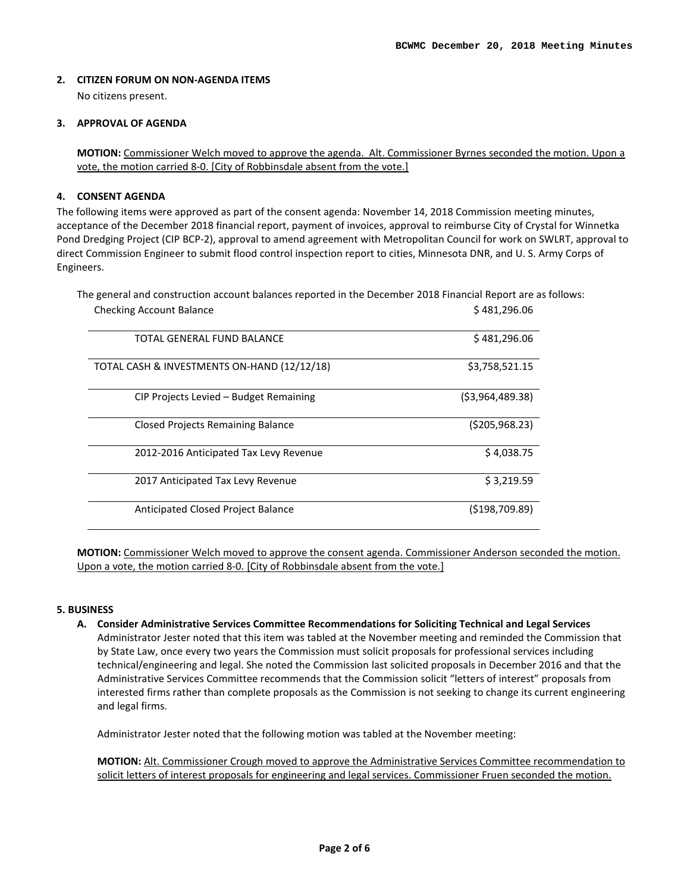#### **2. CITIZEN FORUM ON NON-AGENDA ITEMS**

No citizens present.

#### **3. APPROVAL OF AGENDA**

**MOTION:** Commissioner Welch moved to approve the agenda. Alt. Commissioner Byrnes seconded the motion. Upon a vote, the motion carried 8-0. [City of Robbinsdale absent from the vote.]

#### **4. CONSENT AGENDA**

The following items were approved as part of the consent agenda: November 14, 2018 Commission meeting minutes, acceptance of the December 2018 financial report, payment of invoices, approval to reimburse City of Crystal for Winnetka Pond Dredging Project (CIP BCP-2), approval to amend agreement with Metropolitan Council for work on SWLRT, approval to direct Commission Engineer to submit flood control inspection report to cities, Minnesota DNR, and U. S. Army Corps of Engineers.

The general and construction account balances reported in the December 2018 Financial Report are as follows: Checking Account Balance **\$ 481,296.06**  $\frac{1}{2}$ 

| TOTAL GENERAL FUND BALANCE                  | \$481,296.06    |
|---------------------------------------------|-----------------|
| TOTAL CASH & INVESTMENTS ON-HAND (12/12/18) | \$3,758,521.15  |
| CIP Projects Levied – Budget Remaining      | (53,964,489.38) |
| <b>Closed Projects Remaining Balance</b>    | (5205, 968.23)  |
| 2012-2016 Anticipated Tax Levy Revenue      | \$4,038.75      |
| 2017 Anticipated Tax Levy Revenue           | \$3,219.59      |
| Anticipated Closed Project Balance          | (5198, 709.89)  |

**MOTION:** Commissioner Welch moved to approve the consent agenda. Commissioner Anderson seconded the motion. Upon a vote, the motion carried 8-0. [City of Robbinsdale absent from the vote.]

#### **5. BUSINESS**

**A. Consider Administrative Services Committee Recommendations for Soliciting Technical and Legal Services** Administrator Jester noted that this item was tabled at the November meeting and reminded the Commission that by State Law, once every two years the Commission must solicit proposals for professional services including technical/engineering and legal. She noted the Commission last solicited proposals in December 2016 and that the Administrative Services Committee recommends that the Commission solicit "letters of interest" proposals from interested firms rather than complete proposals as the Commission is not seeking to change its current engineering and legal firms.

Administrator Jester noted that the following motion was tabled at the November meeting:

**MOTION:** Alt. Commissioner Crough moved to approve the Administrative Services Committee recommendation to solicit letters of interest proposals for engineering and legal services. Commissioner Fruen seconded the motion.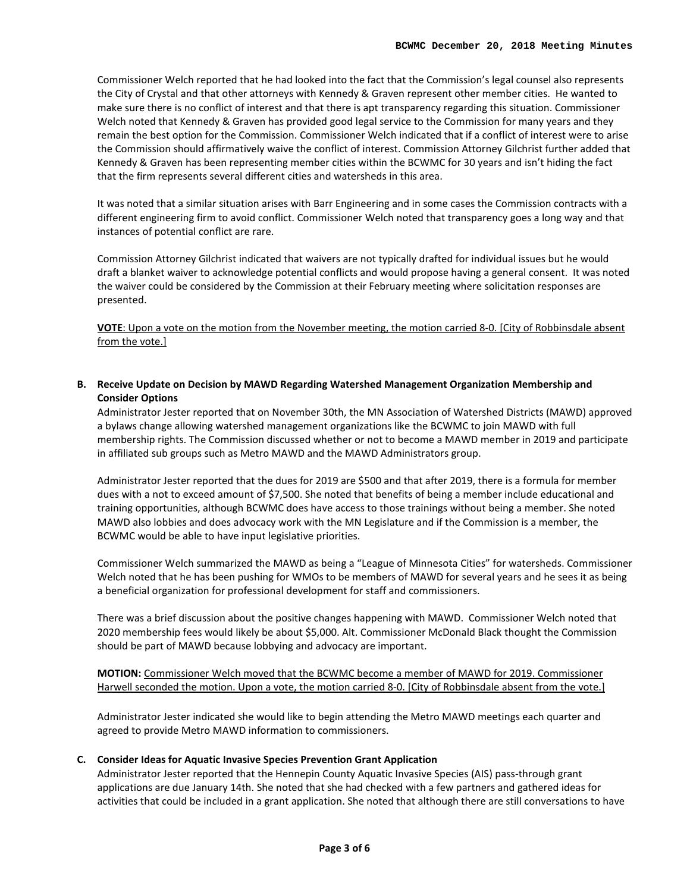Commissioner Welch reported that he had looked into the fact that the Commission's legal counsel also represents the City of Crystal and that other attorneys with Kennedy & Graven represent other member cities. He wanted to make sure there is no conflict of interest and that there is apt transparency regarding this situation. Commissioner Welch noted that Kennedy & Graven has provided good legal service to the Commission for many years and they remain the best option for the Commission. Commissioner Welch indicated that if a conflict of interest were to arise the Commission should affirmatively waive the conflict of interest. Commission Attorney Gilchrist further added that Kennedy & Graven has been representing member cities within the BCWMC for 30 years and isn't hiding the fact that the firm represents several different cities and watersheds in this area.

It was noted that a similar situation arises with Barr Engineering and in some cases the Commission contracts with a different engineering firm to avoid conflict. Commissioner Welch noted that transparency goes a long way and that instances of potential conflict are rare.

Commission Attorney Gilchrist indicated that waivers are not typically drafted for individual issues but he would draft a blanket waiver to acknowledge potential conflicts and would propose having a general consent. It was noted the waiver could be considered by the Commission at their February meeting where solicitation responses are presented.

**VOTE**: Upon a vote on the motion from the November meeting, the motion carried 8-0. [City of Robbinsdale absent from the vote.]

**B. [Receive Update on Decision by MAWD Regarding Watershed Management Organization Membership and](http://www.bassettcreekwmo.org/download_file/view/3509/477)  [Consider Options](http://www.bassettcreekwmo.org/download_file/view/3509/477)**

Administrator Jester reported that on November 30th, the MN Association of Watershed Districts (MAWD) approved a bylaws change allowing watershed management organizations like the BCWMC to join MAWD with full membership rights. The Commission discussed whether or not to become a MAWD member in 2019 and participate in affiliated sub groups such as Metro MAWD and the MAWD Administrators group.

Administrator Jester reported that the dues for 2019 are \$500 and that after 2019, there is a formula for member dues with a not to exceed amount of \$7,500. She noted that benefits of being a member include educational and training opportunities, although BCWMC does have access to those trainings without being a member. She noted MAWD also lobbies and does advocacy work with the MN Legislature and if the Commission is a member, the BCWMC would be able to have input legislative priorities.

Commissioner Welch summarized the MAWD as being a "League of Minnesota Cities" for watersheds. Commissioner Welch noted that he has been pushing for WMOs to be members of MAWD for several years and he sees it as being a beneficial organization for professional development for staff and commissioners.

There was a brief discussion about the positive changes happening with MAWD. Commissioner Welch noted that 2020 membership fees would likely be about \$5,000. Alt. Commissioner McDonald Black thought the Commission should be part of MAWD because lobbying and advocacy are important.

**MOTION:** Commissioner Welch moved that the BCWMC become a member of MAWD for 2019. Commissioner Harwell seconded the motion. Upon a vote, the motion carried 8-0. [City of Robbinsdale absent from the vote.]

Administrator Jester indicated she would like to begin attending the Metro MAWD meetings each quarter and agreed to provide Metro MAWD information to commissioners.

#### **C. [Consider Ideas for Aquatic Invasive Species Prevention Grant Application](http://www.bassettcreekwmo.org/download_file/view/3510/477)**

Administrator Jester reported that the Hennepin County Aquatic Invasive Species (AIS) pass-through grant applications are due January 14th. She noted that she had checked with a few partners and gathered ideas for activities that could be included in a grant application. She noted that although there are still conversations to have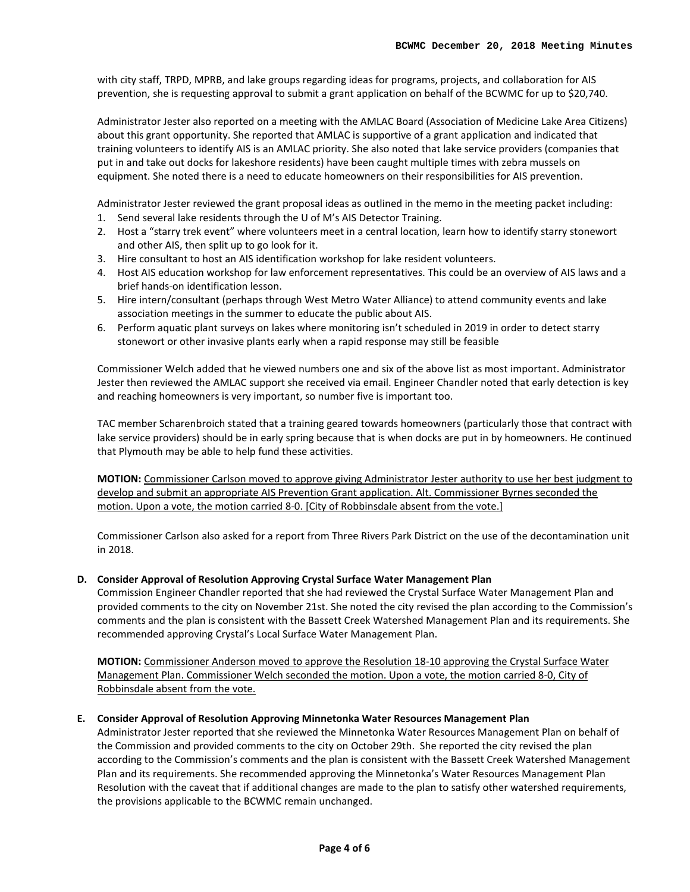with city staff, TRPD, MPRB, and lake groups regarding ideas for programs, projects, and collaboration for AIS prevention, she is requesting approval to submit a grant application on behalf of the BCWMC for up to \$20,740.

Administrator Jester also reported on a meeting with the AMLAC Board (Association of Medicine Lake Area Citizens) about this grant opportunity. She reported that AMLAC is supportive of a grant application and indicated that training volunteers to identify AIS is an AMLAC priority. She also noted that lake service providers (companies that put in and take out docks for lakeshore residents) have been caught multiple times with zebra mussels on equipment. She noted there is a need to educate homeowners on their responsibilities for AIS prevention.

Administrator Jester reviewed the grant proposal ideas as outlined in the memo in the meeting packet including: 1. Send several lake residents through the U of M's AIS Detector Training.

- 2. Host a "starry trek event" where volunteers meet in a central location, learn how to identify starry stonewort and other AIS, then split up to go look for it.
- 3. Hire consultant to host an AIS identification workshop for lake resident volunteers.
- 4. Host AIS education workshop for law enforcement representatives. This could be an overview of AIS laws and a brief hands-on identification lesson.
- 5. Hire intern/consultant (perhaps through West Metro Water Alliance) to attend community events and lake association meetings in the summer to educate the public about AIS.
- 6. Perform aquatic plant surveys on lakes where monitoring isn't scheduled in 2019 in order to detect starry stonewort or other invasive plants early when a rapid response may still be feasible

Commissioner Welch added that he viewed numbers one and six of the above list as most important. Administrator Jester then reviewed the AMLAC support she received via email. Engineer Chandler noted that early detection is key and reaching homeowners is very important, so number five is important too.

TAC member Scharenbroich stated that a training geared towards homeowners (particularly those that contract with lake service providers) should be in early spring because that is when docks are put in by homeowners. He continued that Plymouth may be able to help fund these activities.

**MOTION:** Commissioner Carlson moved to approve giving Administrator Jester authority to use her best judgment to develop and submit an appropriate AIS Prevention Grant application. Alt. Commissioner Byrnes seconded the motion. Upon a vote, the motion carried 8-0. [City of Robbinsdale absent from the vote.]

Commissioner Carlson also asked for a report from Three Rivers Park District on the use of the decontamination unit in 2018.

#### **D. [Consider Approval of Resolution Approving Crystal Surface Water Management Plan](http://www.bassettcreekwmo.org/download_file/view/3517/477)**

Commission Engineer Chandler reported that she had reviewed the Crystal Surface Water Management Plan and provided comments to the city on November 21st. She noted the city revised the plan according to the Commission's comments and the plan is consistent with the Bassett Creek Watershed Management Plan and its requirements. She recommended approving Crystal's Local Surface Water Management Plan.

**MOTION:** Commissioner Anderson moved to approve the Resolution 18-10 approving the Crystal Surface Water Management Plan. Commissioner Welch seconded the motion. Upon a vote, the motion carried 8-0, City of Robbinsdale absent from the vote.

#### **E. [Consider Approval of Resolution Approving Minnetonka Water Resources Management Plan](http://www.bassettcreekwmo.org/download_file/view/3503/477)**

Administrator Jester reported that she reviewed the Minnetonka Water Resources Management Plan on behalf of the Commission and provided comments to the city on October 29th. She reported the city revised the plan according to the Commission's comments and the plan is consistent with the Bassett Creek Watershed Management Plan and its requirements. She recommended approving the Minnetonka's Water Resources Management Plan Resolution with the caveat that if additional changes are made to the plan to satisfy other watershed requirements, the provisions applicable to the BCWMC remain unchanged.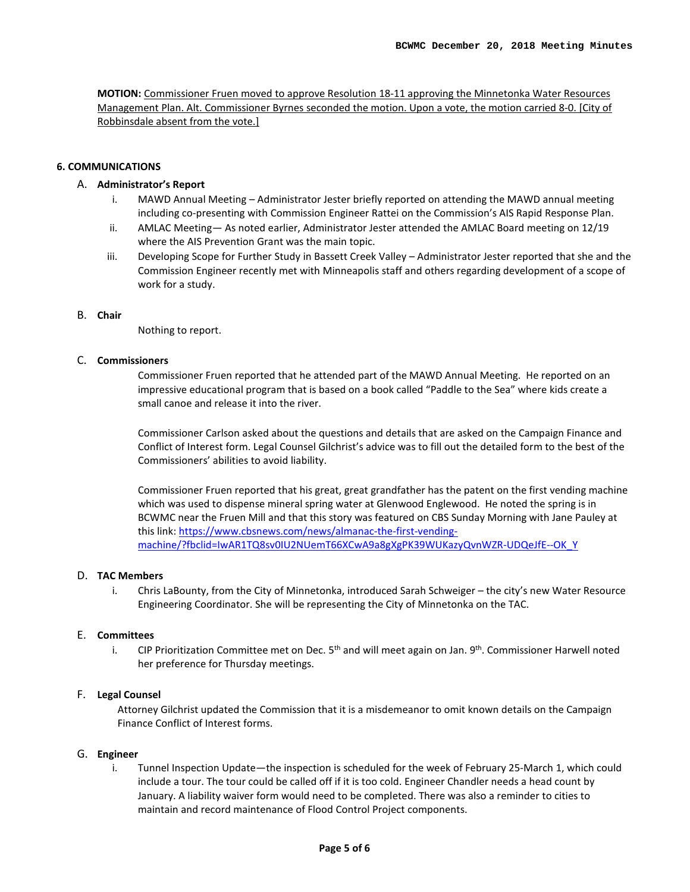**MOTION:** Commissioner Fruen moved to approve Resolution 18-11 approving the Minnetonka Water Resources Management Plan. Alt. Commissioner Byrnes seconded the motion. Upon a vote, the motion carried 8-0. [City of Robbinsdale absent from the vote.]

#### **6. COMMUNICATIONS**

#### A. **Administrator's Report**

- i. MAWD Annual Meeting Administrator Jester briefly reported on attending the MAWD annual meeting including co-presenting with Commission Engineer Rattei on the Commission's AIS Rapid Response Plan.
- ii. AMLAC Meeting— As noted earlier, Administrator Jester attended the AMLAC Board meeting on 12/19 where the AIS Prevention Grant was the main topic.
- iii. Developing Scope for Further Study in Bassett Creek Valley Administrator Jester reported that she and the Commission Engineer recently met with Minneapolis staff and others regarding development of a scope of work for a study.

#### B. **Chair**

Nothing to report.

#### C. **Commissioners**

Commissioner Fruen reported that he attended part of the MAWD Annual Meeting. He reported on an impressive educational program that is based on a book called "Paddle to the Sea" where kids create a small canoe and release it into the river.

Commissioner Carlson asked about the questions and details that are asked on the Campaign Finance and Conflict of Interest form. Legal Counsel Gilchrist's advice was to fill out the detailed form to the best of the Commissioners' abilities to avoid liability.

Commissioner Fruen reported that his great, great grandfather has the patent on the first vending machine which was used to dispense mineral spring water at Glenwood Englewood. He noted the spring is in BCWMC near the Fruen Mill and that this story was featured on CBS Sunday Morning with Jane Pauley at this link: [https://www.cbsnews.com/news/almanac-the-first-vending](https://www.cbsnews.com/news/almanac-the-first-vending-machine/?fbclid=IwAR1TQ8sv0IU2NUemT66XCwA9a8gXgPK39WUKazyQvnWZR-UDQeJfE--OK_Y)[machine/?fbclid=IwAR1TQ8sv0IU2NUemT66XCwA9a8gXgPK39WUKazyQvnWZR-UDQeJfE--OK\\_Y](https://www.cbsnews.com/news/almanac-the-first-vending-machine/?fbclid=IwAR1TQ8sv0IU2NUemT66XCwA9a8gXgPK39WUKazyQvnWZR-UDQeJfE--OK_Y)

#### D. **TAC Members**

i. Chris LaBounty, from the City of Minnetonka, introduced Sarah Schweiger – the city's new Water Resource Engineering Coordinator. She will be representing the City of Minnetonka on the TAC.

#### E. **Committees**

i. CIP Prioritization Committee met on Dec.  $5<sup>th</sup>$  and will meet again on Jan.  $9<sup>th</sup>$ . Commissioner Harwell noted her preference for Thursday meetings.

#### F. **Legal Counsel**

Attorney Gilchrist updated the Commission that it is a misdemeanor to omit known details on the Campaign Finance Conflict of Interest forms.

#### G. **Engineer**

i. Tunnel Inspection Update—the inspection is scheduled for the week of February 25-March 1, which could include a tour. The tour could be called off if it is too cold. Engineer Chandler needs a head count by January. A liability waiver form would need to be completed. There was also a reminder to cities to maintain and record maintenance of Flood Control Project components.